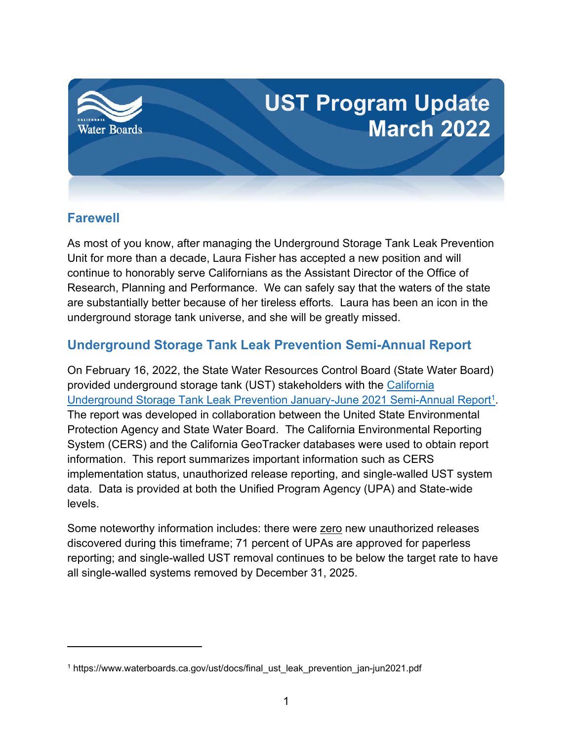

## **Farewell**

As most of you know, after managing the Underground Storage Tank Leak Prevention Unit for more than a decade, Laura Fisher has accepted a new position and will continue to honorably serve Californians as the Assistant Director of the Office of Research, Planning and Performance. We can safely say that the waters of the state are substantially better because of her tireless efforts. Laura has been an icon in the underground storage tank universe, and she will be greatly missed.

## **Underground Storage Tank Leak Prevention Semi-Annual Report**

On February 16, 2022, the State Water Resources Control Board (State Water Board) provided underground storage tank (UST) stakeholders with the [California](https://www.waterboards.ca.gov/ust/docs/final_ust_leak_prevention_jan-jun2021.pdf)  Underground [Storage Tank Leak Prevention January-June 2021 Semi-Annual Report](https://www.waterboards.ca.gov/ust/docs/final_ust_leak_prevention_jan-jun2021.pdf)<sup>[1](#page-0-0)</sup>. The report was developed in collaboration between the United State Environmental Protection Agency and State Water Board. The California Environmental Reporting System (CERS) and the California GeoTracker databases were used to obtain report information. This report summarizes important information such as CERS implementation status, unauthorized release reporting, and single-walled UST system data. Data is provided at both the Unified Program Agency (UPA) and State-wide levels.

Some noteworthy information includes: there were zero new unauthorized releases discovered during this timeframe; 71 percent of UPAs are approved for paperless reporting; and single-walled UST removal continues to be below the target rate to have all single-walled systems removed by December 31, 2025.

<span id="page-0-0"></span><sup>1</sup> https://www.waterboards.ca.gov/ust/docs/final\_ust\_leak\_prevention\_jan-jun2021.pdf